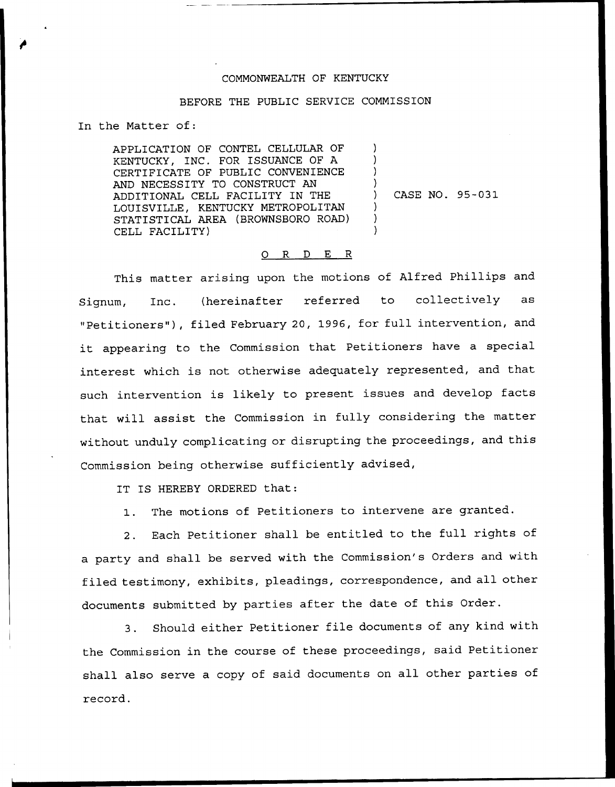## COMMONNEALTH OF KENTUCKY

## BEFORE THE PUBLIC SERVICE COMMISSION

) ) ) )

> ) ) )

In the Matter of:

APPLICATION OF CONTEL CELLULAR OF KENTUCKY, INC. FOR ISSUANCE OF A CERTIFICATE OF PUBLIC CONVENIENCE AND NECESSITY TO CONSTRUCT AN ADDITIONAL CELL FACILITY IN THE LOUISVILLE, KENTUCKY METROPOLITAN STATISTICAL AREA (BRONNSBORO ROAD) CELL FACILITY)

) CASE NO. 95-031

## 0 R <sup>D</sup> E <sup>R</sup>

This matter arising upon the motions of Alfred Phillips and Signum, Inc. (hereinafter referred to collectively as "Petitioners" ), filed February 20, 1996, for full intervention, and it appearing to the Commission that Petitioners have <sup>a</sup> special interest which is not otherwise adequately represented, and that such intervention is likely to present issues and develop facts that will assist the Commission in fully considering the matter without unduly complicating or disrupting the proceedings, and this Commission being otherwise sufficiently advised,

IT IS HEREBY ORDERED that:

1. The motions of Petitioners to intervene are granted.

2. Each Petitioner shall be entitled to the full rights of a party and shall be served with the Commission's Orders and with filed testimony, exhibits, pleadings, correspondence, and all other documents submitted by parties after the date of this Order.

3. Should either Petitioner file documents of any kind with the Commission in the course of these proceedings, said Petitioner shall also serve a copy of said documents on all other parties of record.